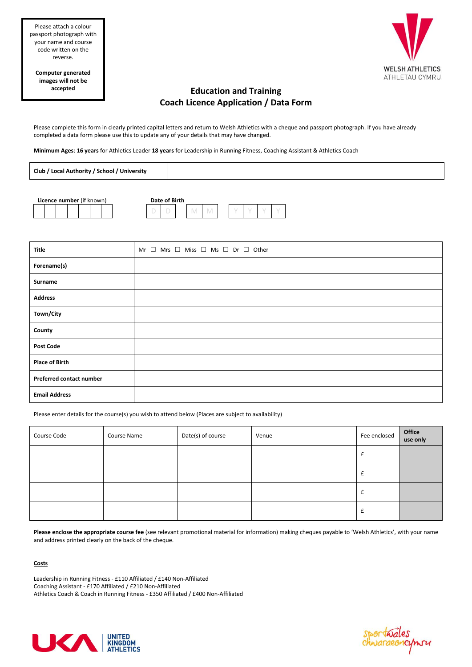



# **Education and Training Coach Licence Application / Data Form**

Please complete this form in clearly printed capital letters and return to Welsh Athletics with a cheque and passport photograph. If you have already completed a data form please use this to update any of your details that may have changed.

**Minimum Ages**: **16 years** for Athletics Leader **18 years** for Leadership in Running Fitness, Coaching Assistant & Athletics Coach

| Club / Local Authority / School / University |  |
|----------------------------------------------|--|
|                                              |  |



| Title                    | Mr $\Box$ Mrs $\Box$ Miss $\Box$ Ms $\Box$ Dr $\Box$ Other |
|--------------------------|------------------------------------------------------------|
| Forename(s)              |                                                            |
| Surname                  |                                                            |
| <b>Address</b>           |                                                            |
| Town/City                |                                                            |
| County                   |                                                            |
| <b>Post Code</b>         |                                                            |
| <b>Place of Birth</b>    |                                                            |
| Preferred contact number |                                                            |
| <b>Email Address</b>     |                                                            |

Please enter details for the course(s) you wish to attend below (Places are subject to availability)

| Course Code | Course Name | Date(s) of course | Venue | Fee enclosed | Office<br>use only |
|-------------|-------------|-------------------|-------|--------------|--------------------|
|             |             |                   |       |              |                    |
|             |             |                   |       |              |                    |
|             |             |                   |       |              |                    |
|             |             |                   |       | t            |                    |

**Please enclose the appropriate course fee** (see relevant promotional material for information) making cheques payable to 'Welsh Athletics', with your name and address printed clearly on the back of the cheque.

### **Costs**

Leadership in Running Fitness - £110 Affiliated / £140 Non-Affiliated Coaching Assistant - £170 Affiliated / £210 Non-Affiliated Athletics Coach & Coach in Running Fitness - £350 Affiliated / £400 Non-Affiliated